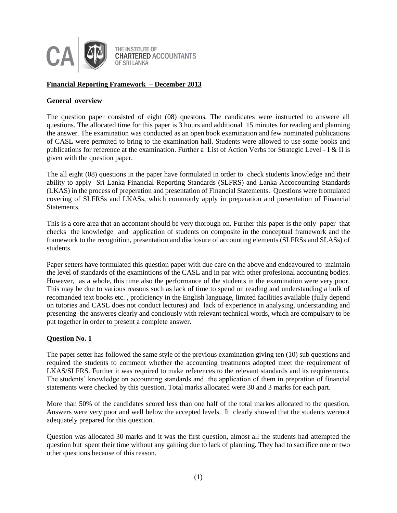

# **Financial Reporting Framework – December 2013**

### **General overview**

The question paper consisted of eight (08) questons. The candidates were instructed to answere all questions. The allocated time for this paper is 3 hours and additional 15 minutes for reading and planning the answer. The examination was conducted as an open book examination and few nominated publications of CASL were permited to bring to the examination hall. Students were allowed to use some books and publications for reference at the examination. Further a List of Action Verbs for Strategic Level - I & II is given with the question paper.

The all eight (08) questions in the paper have formulated in order to check students knowledge and their ability to apply Sri Lanka Financial Reporting Standards (SLFRS) and Lanka Accocounting Standards (LKAS) in the process of preperation and presentation of Financial Statements. Questions were fromulated covering of SLFRSs and LKASs, which commonly apply in preperation and presentation of Financial Statements.

This is a core area that an accontant should be very thorough on. Further this paper is the only paper that checks the knowledge and application of students on composite in the conceptual framework and the framework to the recognition, presentation and disclosure of accounting elements (SLFRSs and SLASs) of students.

Paper setters have formulated this question paper with due care on the above and endeavoured to maintain the level of standards of the examintions of the CASL and in par with other profesional accounting bodies. However, as a whole, this time also the performance of the students in the examination were very poor. This may be due to various reasons such as lack of time to spend on reading and understanding a bulk of recomanded text books etc. , proficiency in the English language, limited facilities available (fully depend on tutories and CASL does not conduct lectures) and lack of experience in analysing, understanding and presenting the answeres clearly and conciously with relevant technical words, which are compulsary to be put together in order to present a complete answer.

# **Question No. 1**

The paper setter has followed the same style of the previous examination giving ten (10) sub questions and required the students to comment whether the accounting treatments adopted meet the requirement of LKAS/SLFRS. Further it was required to make references to the relevant standards and its requirements. The students' knowledge on accounting standards and the application of them in prepration of financial statements were checked by this question. Total marks allocated were 30 and 3 marks for each part.

More than 50% of the candidates scored less than one half of the total markes allocated to the question. Answers were very poor and well below the accepted levels. It clearly showed that the students werenot adequately prepared for this question.

Question was allocated 30 marks and it was the first question, almost all the students had attempted the question but spent their time without any gaining due to lack of planning. They had to sacrifice one or two other questions because of this reason.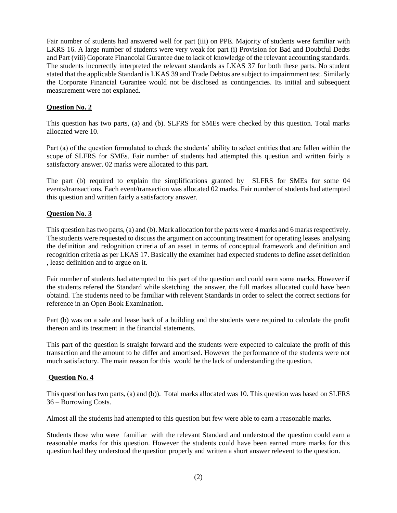Fair number of students had answered well for part (iii) on PPE. Majority of students were familiar with LKRS 16. A large number of students were very weak for part (i) Provision for Bad and Doubtful Dedts and Part (viii) Coporate Financoial Gurantee due to lack of knowledge of the relevant accounting standards. The students incorrectly interpreted the relevant standards as LKAS 37 for both these parts. No student stated that the applicable Standard is LKAS 39 and Trade Debtos are subject to impairmment test. Similarly the Corporate Financial Gurantee would not be disclosed as contingencies. Its initial and subsequent measurement were not explaned.

# **Question No. 2**

This question has two parts, (a) and (b). SLFRS for SMEs were checked by this question. Total marks allocated were 10.

Part (a) of the question formulated to check the students' ability to select entities that are fallen within the scope of SLFRS for SMEs. Fair number of students had attempted this question and written fairly a satisfactory answer. 02 marks were allocated to this part.

The part (b) required to explain the simplifications granted by SLFRS for SMEs for some 04 events/transactions. Each event/transaction was allocated 02 marks. Fair number of students had attempted this question and written fairly a satisfactory answer.

# **Question No. 3**

This question has two parts, (a) and (b). Mark allocation for the parts were 4 marks and 6 marks respectively. The students were requested to discuss the argument on accounting treatment for operating leases analysing the definition and redognition crireria of an asset in terms of conceptual framework and definition and recognition critetia as per LKAS 17. Basically the examiner had expected students to define asset definition , lease definition and to argue on it.

Fair number of students had attempted to this part of the question and could earn some marks. However if the students refered the Standard while sketching the answer, the full markes allocated could have been obtaind. The students need to be familiar with relevent Standards in order to select the correct sections for reference in an Open Book Examination.

Part (b) was on a sale and lease back of a building and the students were required to calculate the profit thereon and its treatment in the financial statements.

This part of the question is straight forward and the students were expected to calculate the profit of this transaction and the amount to be differ and amortised. However the performance of the students were not much satisfactory. The main reason for this would be the lack of understanding the question.

# **Question No. 4**

This question has two parts, (a) and (b)). Total marks allocated was 10. This question was based on SLFRS 36 – Borrowing Costs.

Almost all the students had attempted to this question but few were able to earn a reasonable marks.

Students those who were familiar with the relevant Standard and understood the question could earn a reasonable marks for this question. However the students could have been earned more marks for this question had they understood the question properly and written a short answer relevent to the question.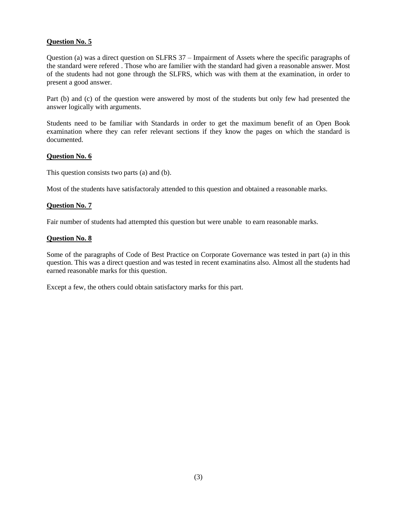# **Question No. 5**

Question (a) was a direct question on SLFRS 37 – Impairment of Assets where the specific paragraphs of the standard were refered . Those who are familier with the standard had given a reasonable answer. Most of the students had not gone through the SLFRS, which was with them at the examination, in order to present a good answer.

Part (b) and (c) of the question were answered by most of the students but only few had presented the answer logically with arguments.

Students need to be familiar with Standards in order to get the maximum benefit of an Open Book examination where they can refer relevant sections if they know the pages on which the standard is documented.

### **Question No. 6**

This question consists two parts (a) and (b).

Most of the students have satisfactoraly attended to this question and obtained a reasonable marks.

### **Question No. 7**

Fair number of students had attempted this question but were unable to earn reasonable marks.

### **Question No. 8**

Some of the paragraphs of Code of Best Practice on Corporate Governance was tested in part (a) in this question. This was a direct question and was tested in recent examinatins also. Almost all the students had earned reasonable marks for this question.

Except a few, the others could obtain satisfactory marks for this part.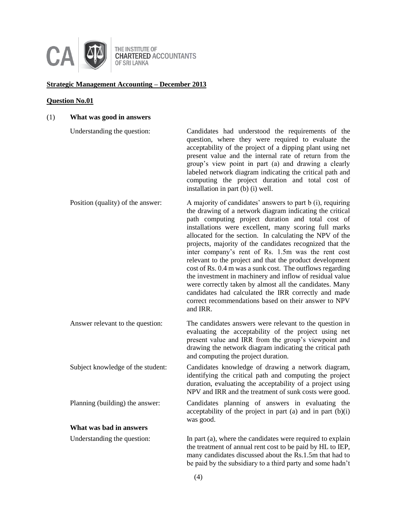

# **Strategic Management Accounting – December 2013**

# **Question No.01**

# (1) **What was good in answers**

| Understanding the question:       | Candidates had understood the requirements of the<br>question, where they were required to evaluate the<br>acceptability of the project of a dipping plant using net<br>present value and the internal rate of return from the<br>group's view point in part (a) and drawing a clearly<br>labeled network diagram indicating the critical path and<br>computing the project duration and total cost of<br>installation in part (b) (i) well.                                                                                                                                                                                                                                                                                                                                                   |
|-----------------------------------|------------------------------------------------------------------------------------------------------------------------------------------------------------------------------------------------------------------------------------------------------------------------------------------------------------------------------------------------------------------------------------------------------------------------------------------------------------------------------------------------------------------------------------------------------------------------------------------------------------------------------------------------------------------------------------------------------------------------------------------------------------------------------------------------|
| Position (quality) of the answer: | A majority of candidates' answers to part b (i), requiring<br>the drawing of a network diagram indicating the critical<br>path computing project duration and total cost of<br>installations were excellent, many scoring full marks<br>allocated for the section. In calculating the NPV of the<br>projects, majority of the candidates recognized that the<br>inter company's rent of Rs. 1.5m was the rent cost<br>relevant to the project and that the product development<br>cost of Rs. 0.4 m was a sunk cost. The outflows regarding<br>the investment in machinery and inflow of residual value<br>were correctly taken by almost all the candidates. Many<br>candidates had calculated the IRR correctly and made<br>correct recommendations based on their answer to NPV<br>and IRR. |
| Answer relevant to the question:  | The candidates answers were relevant to the question in<br>evaluating the acceptability of the project using net<br>present value and IRR from the group's viewpoint and<br>drawing the network diagram indicating the critical path<br>and computing the project duration.                                                                                                                                                                                                                                                                                                                                                                                                                                                                                                                    |
| Subject knowledge of the student: | Candidates knowledge of drawing a network diagram,<br>identifying the critical path and computing the project<br>duration, evaluating the acceptability of a project using<br>NPV and IRR and the treatment of sunk costs were good.                                                                                                                                                                                                                                                                                                                                                                                                                                                                                                                                                           |
| Planning (building) the answer:   | Candidates planning of answers in evaluating the<br>acceptability of the project in part $(a)$ and in part $(b)(i)$<br>was good.                                                                                                                                                                                                                                                                                                                                                                                                                                                                                                                                                                                                                                                               |
| What was bad in answers           |                                                                                                                                                                                                                                                                                                                                                                                                                                                                                                                                                                                                                                                                                                                                                                                                |
| Understanding the question:       | In part (a), where the candidates were required to explain<br>the treatment of annual rent cost to be paid by HL to IEP,<br>many candidates discussed about the Rs.1.5m that had to<br>be paid by the subsidiary to a third party and some hadn't                                                                                                                                                                                                                                                                                                                                                                                                                                                                                                                                              |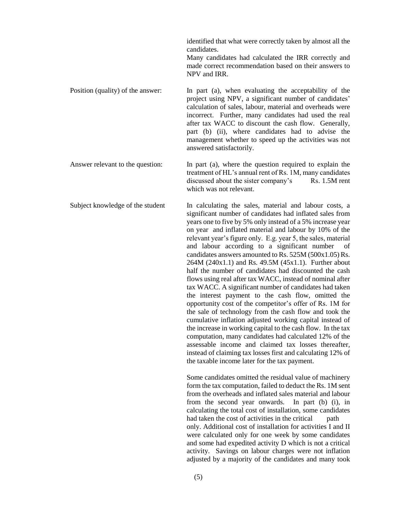identified that what were correctly taken by almost all the candidates. Many candidates had calculated the IRR correctly and made correct recommendation based on their answers to NPV and IRR. Position (quality) of the answer: In part (a), when evaluating the acceptability of the project using NPV, a significant number of candidates' calculation of sales, labour, material and overheads were incorrect. Further, many candidates had used the real after tax WACC to discount the cash flow. Generally, part (b) (ii), where candidates had to advise the management whether to speed up the activities was not answered satisfactorily. Answer relevant to the question: In part (a), where the question required to explain the treatment of HL's annual rent of Rs. 1M, many candidates discussed about the sister company's Rs. 1.5M rent which was not relevant. Subject knowledge of the student In calculating the sales, material and labour costs, a significant number of candidates had inflated sales from years one to five by 5% only instead of a 5% increase year on year and inflated material and labour by 10% of the relevant year's figure only. E.g. year 5, the sales, material and labour according to a significant number of candidates answers amounted to Rs. 525M (500x1.05) Rs. 264M (240x1.1) and Rs. 49.5M (45x1.1). Further about half the number of candidates had discounted the cash flows using real after tax WACC, instead of nominal after tax WACC. A significant number of candidates had taken the interest payment to the cash flow, omitted the opportunity cost of the competitor's offer of Rs. 1M for the sale of technology from the cash flow and took the cumulative inflation adjusted working capital instead of the increase in working capital to the cash flow. In the tax computation, many candidates had calculated 12% of the assessable income and claimed tax losses thereafter, instead of claiming tax losses first and calculating 12% of the taxable income later for the tax payment. Some candidates omitted the residual value of machinery form the tax computation, failed to deduct the Rs. 1M sent from the overheads and inflated sales material and labour from the second year onwards. In part (b) (i), in calculating the total cost of installation, some candidates had taken the cost of activities in the critical path only. Additional cost of installation for activities I and II were calculated only for one week by some candidates and some had expedited activity D which is not a critical

activity. Savings on labour charges were not inflation adjusted by a majority of the candidates and many took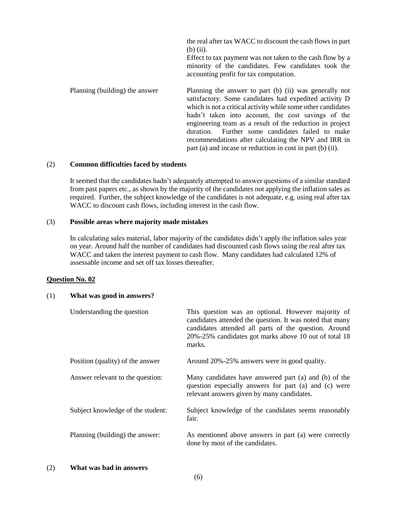|                                | the real after tax WACC to discount the cash flows in part<br>$(b)$ (ii).<br>Effect to tax payment was not taken to the cash flow by a<br>minority of the candidates. Few candidates took the<br>accounting profit for tax computation.                                                                                                                                                                                                                                         |
|--------------------------------|---------------------------------------------------------------------------------------------------------------------------------------------------------------------------------------------------------------------------------------------------------------------------------------------------------------------------------------------------------------------------------------------------------------------------------------------------------------------------------|
| Planning (building) the answer | Planning the answer to part (b) (ii) was generally not<br>satisfactory. Some candidates had expedited activity D<br>which is not a critical activity while some other candidates<br>hadn't taken into account, the cost savings of the<br>engineering team as a result of the reduction in project<br>Further some candidates failed to make<br>duration.<br>recommendations after calculating the NPV and IRR in<br>part (a) and incase or reduction in cost in part (b) (ii). |

### (2) **Common difficulties faced by students**

It seemed that the candidates hadn't adequately attempted to answer questions of a similar standard from past papers etc., as shown by the majority of the candidates not applying the inflation sales as required. Further, the subject knowledge of the candidates is not adequate, e.g. using real after tax WACC to discount cash flows, including interest in the cash flow.

#### (3) **Possible areas where majority made mistakes**

In calculating sales material, labor majority of the candidates didn't apply the inflation sales year on year. Around half the number of candidates had discounted cash flows using the real after tax WACC and taken the interest payment to cash flow. Many candidates had calculated 12% of assessable income and set off tax losses thereafter.

#### **Question No. 02**

#### (1) **What was good in answers?**

| Understanding the question        | This question was an optional. However majority of<br>candidates attended the question. It was noted that many<br>candidates attended all parts of the question. Around<br>20%-25% candidates got marks above 10 out of total 18<br>marks. |
|-----------------------------------|--------------------------------------------------------------------------------------------------------------------------------------------------------------------------------------------------------------------------------------------|
| Position (quality) of the answer  | Around 20%-25% answers were in good quality.                                                                                                                                                                                               |
| Answer relevant to the question:  | Many candidates have answered part (a) and (b) of the<br>question especially answers for part (a) and (c) were<br>relevant answers given by many candidates.                                                                               |
| Subject knowledge of the student: | Subject knowledge of the candidates seems reasonably<br>fair.                                                                                                                                                                              |
| Planning (building) the answer:   | As mentioned above answers in part (a) were correctly<br>done by most of the candidates.                                                                                                                                                   |

#### (2) **What was bad in answers**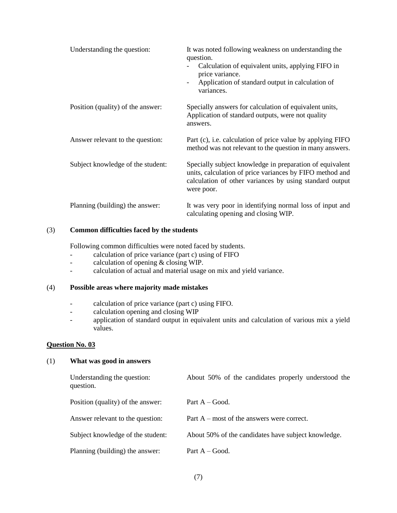| Understanding the question:       | It was noted following weakness on understanding the<br>question.<br>Calculation of equivalent units, applying FIFO in<br>price variance.<br>Application of standard output in calculation of<br>$\overline{\phantom{a}}$<br>variances. |
|-----------------------------------|-----------------------------------------------------------------------------------------------------------------------------------------------------------------------------------------------------------------------------------------|
| Position (quality) of the answer: | Specially answers for calculation of equivalent units,<br>Application of standard outputs, were not quality<br>answers.                                                                                                                 |
| Answer relevant to the question:  | Part (c), i.e. calculation of price value by applying FIFO<br>method was not relevant to the question in many answers.                                                                                                                  |
| Subject knowledge of the student: | Specially subject knowledge in preparation of equivalent<br>units, calculation of price variances by FIFO method and<br>calculation of other variances by using standard output<br>were poor.                                           |
| Planning (building) the answer:   | It was very poor in identifying normal loss of input and<br>calculating opening and closing WIP.                                                                                                                                        |

# (3) **Common difficulties faced by the students**

Following common difficulties were noted faced by students.

- calculation of price variance (part c) using of FIFO
- calculation of opening & closing WIP.
- calculation of actual and material usage on mix and yield variance.

### (4) **Possible areas where majority made mistakes**

- calculation of price variance (part c) using FIFO.
- calculation opening and closing WIP
- application of standard output in equivalent units and calculation of various mix a yield values.

#### **Question No. 03**

#### (1) **What was good in answers**

| Understanding the question:<br>question. | About 50% of the candidates properly understood the |
|------------------------------------------|-----------------------------------------------------|
| Position (quality) of the answer:        | Part $A - Good$ .                                   |
| Answer relevant to the question:         | Part $A$ – most of the answers were correct.        |
| Subject knowledge of the student:        | About 50% of the candidates have subject knowledge. |
| Planning (building) the answer:          | Part $A - Good$ .                                   |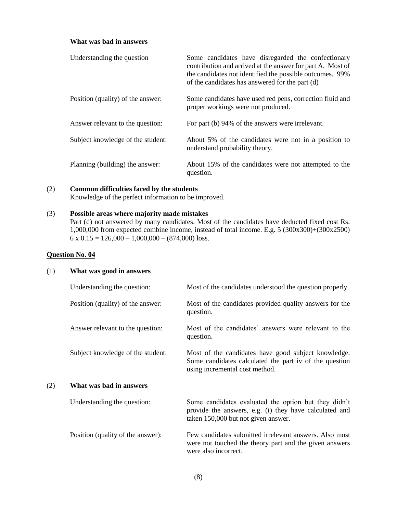### **What was bad in answers**

| Understanding the question        | Some candidates have disregarded the confectionary<br>contribution and arrived at the answer for part A. Most of<br>the candidates not identified the possible outcomes. 99%<br>of the candidates has answered for the part (d) |
|-----------------------------------|---------------------------------------------------------------------------------------------------------------------------------------------------------------------------------------------------------------------------------|
| Position (quality) of the answer: | Some candidates have used red pens, correction fluid and<br>proper workings were not produced.                                                                                                                                  |
| Answer relevant to the question:  | For part (b) 94% of the answers were irrelevant.                                                                                                                                                                                |
| Subject knowledge of the student: | About 5% of the candidates were not in a position to<br>understand probability theory.                                                                                                                                          |
| Planning (building) the answer:   | About 15% of the candidates were not attempted to the<br>question.                                                                                                                                                              |

# (2) **Common difficulties faced by the students**

Knowledge of the perfect information to be improved.

# (3) **Possible areas where majority made mistakes**

Part (d) not answered by many candidates. Most of the candidates have deducted fixed cost Rs. 1,000,000 from expected combine income, instead of total income. E.g. 5 (300x300)+(300x2500)  $6 \times 0.15 = 126,000 - 1,000,000 - (874,000) \text{ loss.}$ 

### **Question No. 04**

# (1) **What was good in answers**

|     | Understanding the question:       | Most of the candidates understood the question properly.                                                                                              |
|-----|-----------------------------------|-------------------------------------------------------------------------------------------------------------------------------------------------------|
|     | Position (quality) of the answer: | Most of the candidates provided quality answers for the<br>question.                                                                                  |
|     | Answer relevant to the question:  | Most of the candidates' answers were relevant to the<br>question.                                                                                     |
|     | Subject knowledge of the student: | Most of the candidates have good subject knowledge.<br>Some candidates calculated the part iv of the question<br>using incremental cost method.       |
| (2) | What was bad in answers           |                                                                                                                                                       |
|     | Understanding the question:       | Some candidates evaluated the option but they didn't<br>provide the answers, e.g. (i) they have calculated and<br>taken 150,000 but not given answer. |
|     | Position (quality of the answer): | Few candidates submitted irrelevant answers. Also most<br>were not touched the theory part and the given answers<br>were also incorrect.              |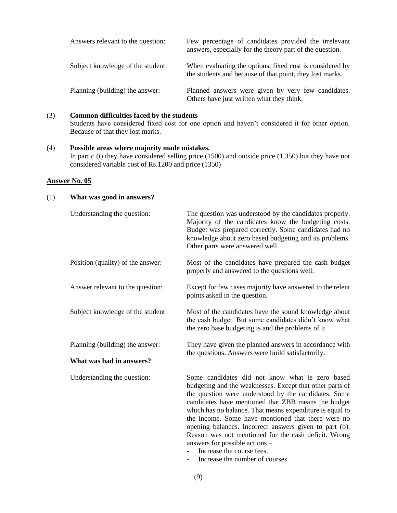| Answers relevant to the question: | Few percentage of candidates provided the irrelevant<br>answers, especially for the theory part of the question.     |
|-----------------------------------|----------------------------------------------------------------------------------------------------------------------|
| Subject knowledge of the student: | When evaluating the options, fixed cost is considered by<br>the students and because of that point, they lost marks. |
| Planning (building) the answer:   | Planned answers were given by very few candidates.<br>Others have just written what they think.                      |

### (3) **Common difficulties faced by the students**

Students have considered fixed cost for one option and haven't considered it for other option. Because of that they lost marks.

# (4) **Possible areas where majority made mistakes.**

In part c (i) they have considered selling price (1500) and outside price (1,350) but they have not considered variable cost of Rs.1200 and price (1350)

# **Answer No. 05**

# (1) **What was good in answers?**

| Understanding the question:                                 | The question was understood by the candidates properly.<br>Majority of the candidates know the budgeting costs.<br>Budget was prepared correctly. Some candidates had no<br>knowledge about zero based budgeting and its problems.<br>Other parts were answered well.                                                                                                                                                                                                                                                         |
|-------------------------------------------------------------|-------------------------------------------------------------------------------------------------------------------------------------------------------------------------------------------------------------------------------------------------------------------------------------------------------------------------------------------------------------------------------------------------------------------------------------------------------------------------------------------------------------------------------|
| Position (quality) of the answer:                           | Most of the candidates have prepared the cash budget<br>properly and answered to the questions well.                                                                                                                                                                                                                                                                                                                                                                                                                          |
| Answer relevant to the question:                            | Except for few cases majority have answered to the relent<br>points asked in the question.                                                                                                                                                                                                                                                                                                                                                                                                                                    |
| Subject knowledge of the student:                           | Most of the candidates have the sound knowledge about<br>the cash budget. But some candidates didn't know what<br>the zero base budgeting is and the problems of it.                                                                                                                                                                                                                                                                                                                                                          |
| Planning (building) the answer:<br>What was bad in answers? | They have given the planned answers in accordance with<br>the questions. Answers were build satisfactorily.                                                                                                                                                                                                                                                                                                                                                                                                                   |
| Understanding the question:                                 | Some candidates did not know what is zero based<br>budgeting and the weaknesses. Except that other parts of<br>the question were understood by the candidates. Some<br>candidates have mentioned that ZBB means the budget<br>which has no balance. That means expenditure is equal to<br>the income. Some have mentioned that there were no<br>opening balances. Incorrect answers given to part (b).<br>Reason was not mentioned for the cash deficit. Wrong<br>answers for possible actions -<br>Increase the course fees. |

- Increase the number of courses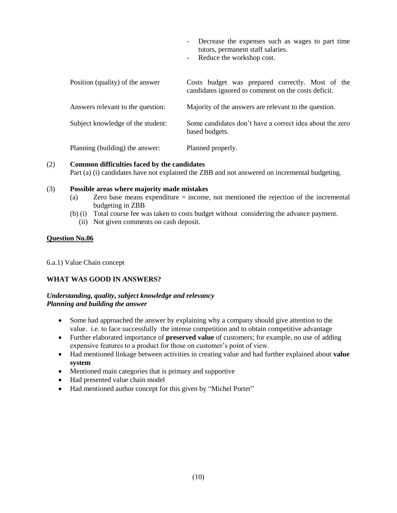- Decrease the expenses such as wages to part time tutors, permanent staff salaries.
- Reduce the workshop cost.

| Position (quality) of the answer  | Costs budget was prepared correctly. Most of the<br>candidates ignored to comment on the costs deficit. |
|-----------------------------------|---------------------------------------------------------------------------------------------------------|
| Answers relevant to the question: | Majority of the answers are relevant to the question.                                                   |
| Subject knowledge of the student: | Some candidates don't have a correct idea about the zero<br>based budgets.                              |
| Planning (building) the answer:   | Planned properly.                                                                                       |

# (2) **Common difficulties faced by the candidates**

Part (a) (i) candidates have not explained the ZBB and not answered on incremental budgeting.

# (3) **Possible areas where majority made mistakes**

- (a) Zero base means expenditure = income, not mentioned the rejection of the incremental budgeting in ZBB
- (b) (i) Total course fee was taken to costs budget without considering the advance payment. (ii) Not given comments on cash deposit.

# **Question No.06**

6.a.1) Value Chain concept

# **WHAT WAS GOOD IN ANSWERS?**

# *Understanding, quality, subject knowledge and relevancy Planning and building the answer*

- Some had approached the answer by explaining why a company should give attention to the value. i.e. to face successfully the intense competition and to obtain competitive advantage
- Further elaborated importance of **preserved value** of customers; for example, no use of adding expensive features to a product for those on customer's point of view.
- Had mentioned linkage between activities in creating value and had further explained about **value system**
- Mentioned main categories that is primary and supportive
- Had presented value chain model
- Had mentioned author concept for this given by "Michel Porter"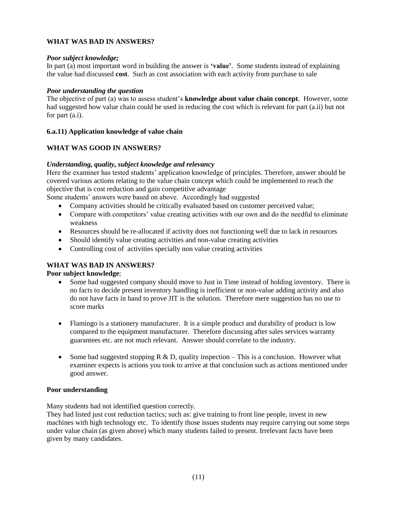# **WHAT WAS BAD IN ANSWERS?**

# *Poor subject knowledge;*

In part (a) most important word in building the answer is **'value'**. Some students instead of explaining the value had discussed **cost**. Such as cost association with each activity from purchase to sale

### *Poor understanding the question*

The objective of part (a) was to assess student's **knowledge about value chain concept**. However, some had suggested how value chain could be used in reducing the cost which is relevant for part (a.ii) but not for part (a.i).

# **6.a.11) Application knowledge of value chain**

# **WHAT WAS GOOD IN ANSWERS?**

# *Understanding, quality, subject knowledge and relevancy*

Here the examiner has tested students' application knowledge of principles. Therefore, answer should be covered various actions relating to the value chain concept which could be implemented to reach the objective that is cost reduction and gain competitive advantage

Some students' answers were based on above. Accordingly had suggested

- Company activities should be critically evaluated based on customer perceived value;
- Compare with competitors' value creating activities with our own and do the needful to eliminate weakness
- Resources should be re-allocated if activity does not functioning well due to lack in resources
- Should identify value creating activities and non-value creating activities
- Controlling cost of activities specially non value creating activities

# **WHAT WAS BAD IN ANSWERS?**

# **Poor subject knowledge**;

- Some had suggested company should move to Just in Time instead of holding inventory. There is no facts to decide present inventory handling is inefficient or non-value adding activity and also do not have facts in hand to prove JIT is the solution. Therefore mere suggestion has no use to score marks
- Flamingo is a stationery manufacturer. It is a simple product and durability of product is low compared to the equipment manufacturer. Therefore discussing after sales services warranty guarantees etc. are not much relevant. Answer should correlate to the industry.
- Some had suggested stopping R & D, quality inspection This is a conclusion. However what examiner expects is actions you took to arrive at that conclusion such as actions mentioned under good answer.

# **Poor understanding**

Many students had not identified question correctly.

They had listed just cost reduction tactics; such as: give training to front line people, invest in new machines with high technology etc. To identify those issues students may require carrying out some steps under value chain (as given above) which many students failed to present. Irrelevant facts have been given by many candidates.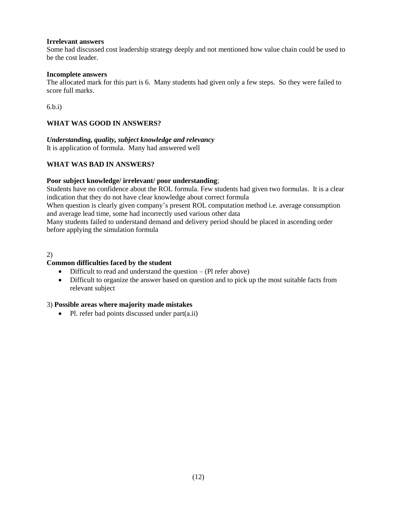# **Irrelevant answers**

Some had discussed cost leadership strategy deeply and not mentioned how value chain could be used to be the cost leader.

#### **Incomplete answers**

The allocated mark for this part is 6. Many students had given only a few steps. So they were failed to score full marks.

6.b.i)

# **WHAT WAS GOOD IN ANSWERS?**

# *Understanding, quality, subject knowledge and relevancy*

It is application of formula. Many had answered well

# **WHAT WAS BAD IN ANSWERS?**

### **Poor subject knowledge/ irrelevant/ poor understanding**;

Students have no confidence about the ROL formula. Few students had given two formulas. It is a clear indication that they do not have clear knowledge about correct formula

When question is clearly given company's present ROL computation method i.e. average consumption and average lead time, some had incorrectly used various other data

Many students failed to understand demand and delivery period should be placed in ascending order before applying the simulation formula

2)

# **Common difficulties faced by the student**

- Difficult to read and understand the question (Pl refer above)
- Difficult to organize the answer based on question and to pick up the most suitable facts from relevant subject

# 3) **Possible areas where majority made mistakes**

• Pl. refer bad points discussed under part(a.ii)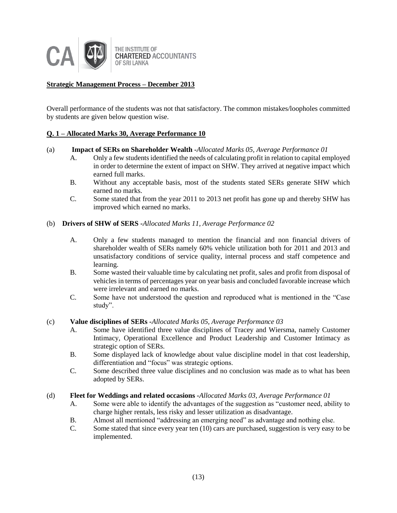

# **Strategic Management Process – December 2013**

Overall performance of the students was not that satisfactory. The common mistakes/loopholes committed by students are given below question wise.

# **Q. 1 – Allocated Marks 30, Average Performance 10**

### (a) **Impact of SERs on Shareholder Wealth -***Allocated Marks 05, Average Performance 01*

- A. Only a few students identified the needs of calculating profit in relation to capital employed in order to determine the extent of impact on SHW. They arrived at negative impact which earned full marks.
- B. Without any acceptable basis, most of the students stated SERs generate SHW which earned no marks.
- C. Some stated that from the year 2011 to 2013 net profit has gone up and thereby SHW has improved which earned no marks.

### (b) **Drivers of SHW of SERS -***Allocated Marks 11, Average Performance 02*

- A. Only a few students managed to mention the financial and non financial drivers of shareholder wealth of SERs namely 60% vehicle utilization both for 2011 and 2013 and unsatisfactory conditions of service quality, internal process and staff competence and learning.
- B. Some wasted their valuable time by calculating net profit, sales and profit from disposal of vehicles in terms of percentages year on year basis and concluded favorable increase which were irrelevant and earned no marks.
- C. Some have not understood the question and reproduced what is mentioned in the "Case study".

#### (c) **Value disciplines of SERs -***Allocated Marks 05, Average Performance 03*

- A. Some have identified three value disciplines of Tracey and Wiersma, namely Customer Intimacy, Operational Excellence and Product Leadership and Customer Intimacy as strategic option of SERs.
- B. Some displayed lack of knowledge about value discipline model in that cost leadership, differentiation and "focus" was strategic options.
- C. Some described three value disciplines and no conclusion was made as to what has been adopted by SERs.

# (d) **Fleet for Weddings and related occasions -***Allocated Marks 03, Average Performance 01*

- A. Some were able to identify the advantages of the suggestion as "customer need, ability to charge higher rentals, less risky and lesser utilization as disadvantage.
- B. Almost all mentioned "addressing an emerging need" as advantage and nothing else.
- C. Some stated that since every year ten (10) cars are purchased, suggestion is very easy to be implemented.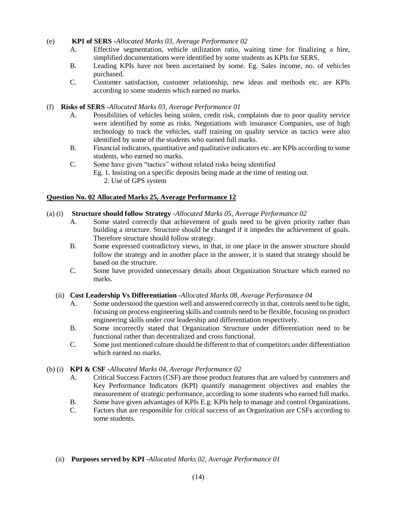# (e) **KPI of SERS -***Allocated Marks 03, Average Performance 02*

- A. Effective segmentation, vehicle utilization ratio, waiting time for finalizing a hire, simplified documentations were identified by some students as KPIs for SERS.
- B. Leading KPIs have not been ascertained by some. Eg. Sales income, no. of vehicles purchased.
- C. Customer satisfaction, customer relationship, new ideas and methods etc. are KPIs according to some students which earned no marks.

# (f) **Risks of SERS -***Allocated Marks 03, Average Performance 01*

- A. Possibilities of vehicles being stolen, credit risk, complaints due to poor quality service were identified by some as risks. Negotiations with insurance Companies, use of high technology to track the vehicles, staff training on quality service as tactics were also identified by some of the students who earned full marks.
- B. Financial indicators, quantitative and qualitative indicators etc. are KPIs according to some students, who earned no marks.
- C. Some have given "tactics" without related risks being identified
	- Eg. 1. Insisting on a specific deposits being made at the time of renting out.
		- 2. Use of GPS system

# **Question No. 02 Allocated Marks 25, Average Performance 12**

# (a) (i) **Structure should follow Strategy -***Allocated Marks 05, Average Performance 02*

- A. Some stated correctly that achievement of goals need to be given priority rather than building a structure. Structure should be changed if it impedes the achievement of goals. Therefore structure should follow strategy.
- B. Some expressed contradictory views, in that, in one place in the answer structure should follow the strategy and in another place in the answer, it is stated that strategy should be based on the structure.
- C. Some have provided unnecessary details about Organization Structure which earned no marks.

# (ii) **Cost Leadership Vs Differentiation** -*Allocated Marks 08, Average Performance 04*

- A. Some understood the question well and answered correctly in that, controls need to be tight, focusing on process engineering skills and controls need to be flexible, focusing on product engineering skills under cost leadership and differentiation respectively.
- B. Some incorrectly stated that Organization Structure under differentiation need to be functional rather than decentralized and cross functional.
- C. Some just mentioned culture should be different to that of competitors under differentiation which earned no marks.

# (b) (i) **KPI & CSF -***Allocated Marks 04, Average Performance 02*

- A. Critical Success Factors (CSF) are those product features that are valued by customers and Key Performance Indicators (KPI) quantify management objectives and enables the measurement of strategic performance, according to some students who earned full marks.
- B. Some have given advantages of KPIs E.g: KPIs help to manage and control Organizations.<br>C. Factors that are responsible for critical success of an Organization are CSFs according to
- Factors that are responsible for critical success of an Organization are CSFs according to some students.
- (ii) **Purposes served by KPI -***Allocated Marks 02, Average Performance 01*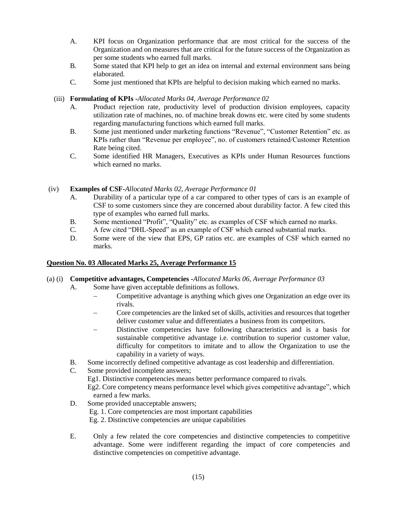- A. KPI focus on Organization performance that are most critical for the success of the Organization and on measures that are critical for the future success of the Organization as per some students who earned full marks.
- B. Some stated that KPI help to get an idea on internal and external environment sans being elaborated.
- C. Some just mentioned that KPIs are helpful to decision making which earned no marks.

# (iii) **Formulating of KPIs -***Allocated Marks 04, Average Performance 02*

- A. Product rejection rate, productivity level of production division employees, capacity utilization rate of machines, no. of machine break downs etc. were cited by some students regarding manufacturing functions which earned full marks.
- B. Some just mentioned under marketing functions "Revenue", "Customer Retention" etc. as KPIs rather than "Revenue per employee", no. of customers retained/Customer Retention Rate being cited.
- C. Some identified HR Managers, Executives as KPIs under Human Resources functions which earned no marks.

# (iv) **Examples of CSF-***Allocated Marks 02, Average Performance 01*

- A. Durability of a particular type of a car compared to other types of cars is an example of CSF to some customers since they are concerned about durability factor. A few cited this type of examples who earned full marks.
- B. Some mentioned "Profit", "Quality" etc. as examples of CSF which earned no marks.
- C. A few cited "DHL-Speed" as an example of CSF which earned substantial marks.
- D. Some were of the view that EPS, GP ratios etc. are examples of CSF which earned no marks.

# **Question No. 03 Allocated Marks 25, Average Performance 15**

# (a) (i) **Competitive advantages, Competencies -***Allocated Marks 06, Average Performance 03*

- A. Some have given acceptable definitions as follows.
	- Competitive advantage is anything which gives one Organization an edge over its rivals.
	- Core competencies are the linked set of skills, activities and resources that together deliver customer value and differentiates a business from its competitors.
	- Distinctive competencies have following characteristics and is a basis for sustainable competitive advantage i.e. contribution to superior customer value, difficulty for competitors to imitate and to allow the Organization to use the capability in a variety of ways.
- B. Some incorrectly defined competitive advantage as cost leadership and differentiation.
- C. Some provided incomplete answers;

Eg1. Distinctive competencies means better performance compared to rivals.

Eg2. Core competency means performance level which gives competitive advantage", which earned a few marks.

- D. Some provided unacceptable answers; Eg. 1. Core competencies are most important capabilities Eg. 2. Distinctive competencies are unique capabilities
- E. Only a few related the core competencies and distinctive competencies to competitive advantage. Some were indifferent regarding the impact of core competencies and distinctive competencies on competitive advantage.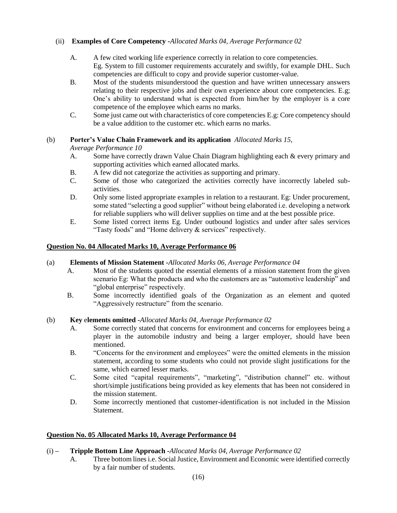# (ii) **Examples of Core Competency -***Allocated Marks 04, Average Performance 02*

- A. A few cited working life experience correctly in relation to core competencies. Eg. System to fill customer requirements accurately and swiftly, for example DHL. Such competencies are difficult to copy and provide superior customer-value.
- B. Most of the students misunderstood the question and have written unnecessary answers relating to their respective jobs and their own experience about core competencies. E.g; One's ability to understand what is expected from him/her by the employer is a core competence of the employee which earns no marks.
- C. Some just came out with characteristics of core competencies E.g: Core competency should be a value addition to the customer etc. which earns no marks.

# (b) **Porter's Value Chain Framework and its application** *Allocated Marks 15,*

*Average Performance 10*

- A. Some have correctly drawn Value Chain Diagram highlighting each & every primary and supporting activities which earned allocated marks.
- B. A few did not categorize the activities as supporting and primary.
- C. Some of those who categorized the activities correctly have incorrectly labeled subactivities.
- D. Only some listed appropriate examples in relation to a restaurant. Eg: Under procurement, some stated "selecting a good supplier" without being elaborated i.e. developing a network for reliable suppliers who will deliver supplies on time and at the best possible price.
- E. Some listed correct items Eg. Under outbound logistics and under after sales services "Tasty foods" and "Home delivery & services" respectively.

# **Question No. 04 Allocated Marks 10, Average Performance 06**

# (a) **Elements of Mission Statement -***Allocated Marks 06, Average Performance 04*

- A. Most of the students quoted the essential elements of a mission statement from the given scenario Eg: What the products and who the customers are as "automotive leadership" and "global enterprise" respectively.
- B. Some incorrectly identified goals of the Organization as an element and quoted "Aggressively restructure" from the scenario.

# (b) **Key** e**lements omitted -***Allocated Marks 04, Average Performance 02*

- A. Some correctly stated that concerns for environment and concerns for employees being a player in the automobile industry and being a larger employer, should have been mentioned.
- B. "Concerns for the environment and employees" were the omitted elements in the mission statement, according to some students who could not provide slight justifications for the same, which earned lesser marks.
- C. Some cited "capital requirements", "marketing", "distribution channel" etc. without short/simple justifications being provided as key elements that has been not considered in the mission statement.
- D. Some incorrectly mentioned that customer-identification is not included in the Mission Statement.

# **Question No. 05 Allocated Marks 10, Average Performance 04**

# (i) **– Tripple Bottom Line Approach -***Allocated Marks 04, Average Performance 02*

A. Three bottom lines i.e. Social Justice, Environment and Economic were identified correctly by a fair number of students.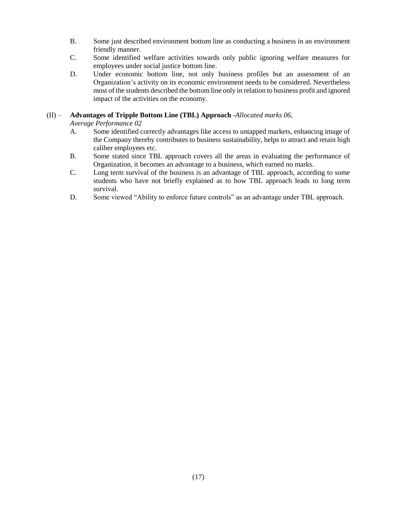- B. Some just described environment bottom line as conducting a business in an environment friendly manner.
- C. Some identified welfare activities towards only public ignoring welfare measures for employees under social justice bottom line.
- D. Under economic bottom line, not only business profiles but an assessment of an Organization's activity on its economic environment needs to be considered. Nevertheless most of the students described the bottom line only in relation to business profit and ignored impact of the activities on the economy.

# (II) – **Advantages of Tripple Bottom Line (TBL) Approach** -*Allocated marks 06,*

*Average Performance 02*

- A. Some identified correctly advantages like access to untapped markets, enhancing image of the Company thereby contributes to business sustainability, helps to attract and retain high caliber employees etc.
- B. Some stated since TBL approach covers all the areas in evaluating the performance of Organization, it becomes an advantage to a business, which earned no marks.
- C. Long term survival of the business is an advantage of TBL approach, according to some students who have not briefly explained as to how TBL approach leads to long term survival.
- D. Some viewed "Ability to enforce future controls" as an advantage under TBL approach.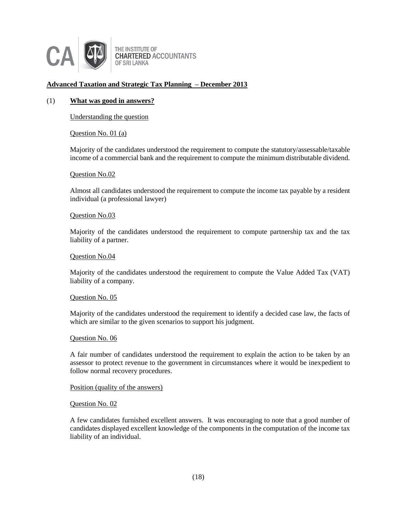

THE INSTITUTE OF **CHARTERED ACCOUNTANTS** OF SRI LANKA

# **Advanced Taxation and Strategic Tax Planning – December 2013**

### (1) **What was good in answers?**

Understanding the question

Question No. 01 (a)

Majority of the candidates understood the requirement to compute the statutory/assessable/taxable income of a commercial bank and the requirement to compute the minimum distributable dividend.

#### Question No.02

Almost all candidates understood the requirement to compute the income tax payable by a resident individual (a professional lawyer)

### Question No.03

Majority of the candidates understood the requirement to compute partnership tax and the tax liability of a partner.

#### Question No.04

Majority of the candidates understood the requirement to compute the Value Added Tax (VAT) liability of a company.

#### Question No. 05

Majority of the candidates understood the requirement to identify a decided case law, the facts of which are similar to the given scenarios to support his judgment.

#### Question No. 06

A fair number of candidates understood the requirement to explain the action to be taken by an assessor to protect revenue to the government in circumstances where it would be inexpedient to follow normal recovery procedures.

#### Position (quality of the answers)

#### Question No. 02

A few candidates furnished excellent answers. It was encouraging to note that a good number of candidates displayed excellent knowledge of the components in the computation of the income tax liability of an individual.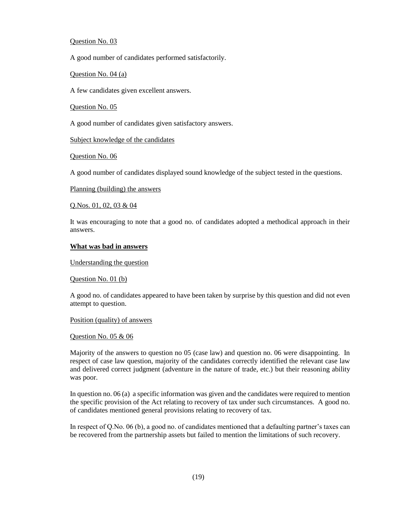#### Question No. 03

A good number of candidates performed satisfactorily.

Question No. 04 (a)

A few candidates given excellent answers.

Question No. 05

A good number of candidates given satisfactory answers.

Subject knowledge of the candidates

Question No. 06

A good number of candidates displayed sound knowledge of the subject tested in the questions.

Planning (building) the answers

Q.Nos. 01, 02, 03 & 04

It was encouraging to note that a good no. of candidates adopted a methodical approach in their answers.

#### **What was bad in answers**

Understanding the question

Question No. 01 (b)

A good no. of candidates appeared to have been taken by surprise by this question and did not even attempt to question.

Position (quality) of answers

#### Question No. 05 & 06

Majority of the answers to question no 05 (case law) and question no. 06 were disappointing. In respect of case law question, majority of the candidates correctly identified the relevant case law and delivered correct judgment (adventure in the nature of trade, etc.) but their reasoning ability was poor.

In question no. 06 (a) a specific information was given and the candidates were required to mention the specific provision of the Act relating to recovery of tax under such circumstances. A good no. of candidates mentioned general provisions relating to recovery of tax.

In respect of Q.No. 06 (b), a good no. of candidates mentioned that a defaulting partner's taxes can be recovered from the partnership assets but failed to mention the limitations of such recovery.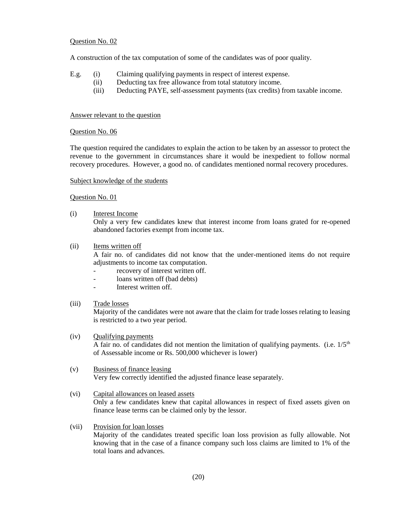### Question No. 02

A construction of the tax computation of some of the candidates was of poor quality.

- E.g. (i) Claiming qualifying payments in respect of interest expense.
	- (ii) Deducting tax free allowance from total statutory income.
		- (iii) Deducting PAYE, self-assessment payments (tax credits) from taxable income.

### Answer relevant to the question

# Question No. 06

The question required the candidates to explain the action to be taken by an assessor to protect the revenue to the government in circumstances share it would be inexpedient to follow normal recovery procedures. However, a good no. of candidates mentioned normal recovery procedures.

### Subject knowledge of the students

# Question No. 01

(i) Interest Income

Only a very few candidates knew that interest income from loans grated for re-opened abandoned factories exempt from income tax.

(ii) Items written off

A fair no. of candidates did not know that the under-mentioned items do not require adjustments to income tax computation.

- recovery of interest written off.
- loans written off (bad debts)
- Interest written off.

# (iii) Trade losses

Majority of the candidates were not aware that the claim for trade losses relating to leasing is restricted to a two year period.

#### (iv) Qualifying payments

A fair no. of candidates did not mention the limitation of qualifying payments. (i.e.  $1/5<sup>th</sup>$ of Assessable income or Rs. 500,000 whichever is lower)

# (v) Business of finance leasing

Very few correctly identified the adjusted finance lease separately.

# (vi) Capital allowances on leased assets

Only a few candidates knew that capital allowances in respect of fixed assets given on finance lease terms can be claimed only by the lessor.

# (vii) Provision for loan losses

Majority of the candidates treated specific loan loss provision as fully allowable. Not knowing that in the case of a finance company such loss claims are limited to 1% of the total loans and advances.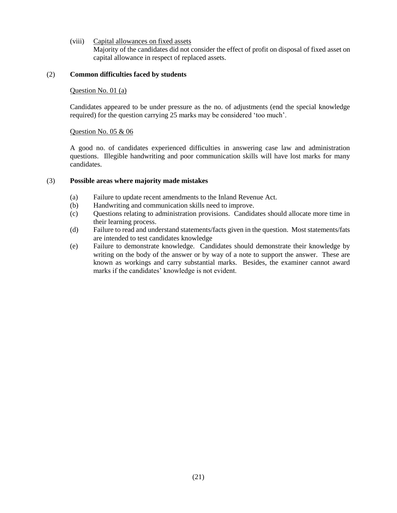(viii) Capital allowances on fixed assets

Majority of the candidates did not consider the effect of profit on disposal of fixed asset on capital allowance in respect of replaced assets.

# (2) **Common difficulties faced by students**

### Question No. 01 (a)

Candidates appeared to be under pressure as the no. of adjustments (end the special knowledge required) for the question carrying 25 marks may be considered 'too much'.

### Question No. 05 & 06

A good no. of candidates experienced difficulties in answering case law and administration questions. Illegible handwriting and poor communication skills will have lost marks for many candidates.

### (3) **Possible areas where majority made mistakes**

- (a) Failure to update recent amendments to the Inland Revenue Act.
- (b) Handwriting and communication skills need to improve.
- (c) Questions relating to administration provisions. Candidates should allocate more time in their learning process.
- (d) Failure to read and understand statements/facts given in the question. Most statements/fats are intended to test candidates knowledge
- (e) Failure to demonstrate knowledge. Candidates should demonstrate their knowledge by writing on the body of the answer or by way of a note to support the answer. These are known as workings and carry substantial marks. Besides, the examiner cannot award marks if the candidates' knowledge is not evident.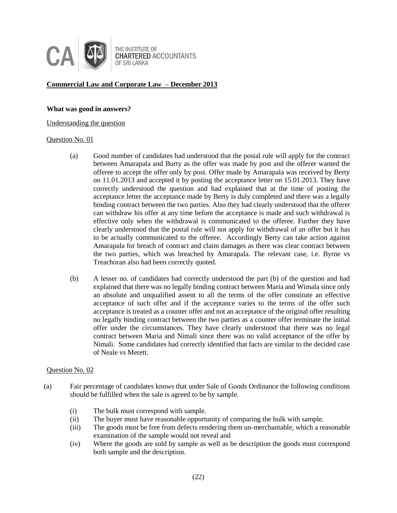

# **Commercial Law and Corporate Law – December 2013**

#### **What was good in answers?**

#### Understanding the question

#### Question No. 01

- (a) Good number of candidates had understood that the postal rule will apply for the contract between Amarapala and Burty as the offer was made by post and the offerer wanted the offeree to accept the offer only by post. Offer made by Amarapala was received by Berty on 11.01.2013 and accepted it by posting the acceptance letter on 15.01.2013. They have correctly understood the question and had explained that at the time of posting the acceptance letter the acceptance made by Berty is duly completed and there was a legally binding contract between the two parties. Also they had clearly understood that the offerer can withdraw his offer at any time before the acceptance is made and such withdrawal is effective only when the withdrawal is communicated to the offeree. Further they have clearly understood that the postal rule will not apply for withdrawal of an offer but it has to be actually communicated to the offeree. Accordingly Berty can take action against Amarapala for breach of contract and claim damages as there was clear contract between the two parties, which was breached by Amarapala. The relevant case, i.e. Byrne vs Treachoran also had been correctly quoted.
- (b) A lesser no. of candidates had correctly understood the part (b) of the question and had explained that there was no legally binding contract between Maria and Wimala since only an absolute and unqualified assent to all the terms of the offer constitute an effective acceptance of such offer and if the acceptance varies to the terms of the offer such acceptance is treated as a counter offer and not an acceptance of the original offer resulting no legally binding contract between the two parties as a counter offer terminate the initial offer under the circumstances. They have clearly understood that there was no legal contract between Maria and Nimali since there was no valid acceptance of the offer by Nimali. Some candidates had correctly identified that facts are similar to the decided case of Neale vs Merett.

- (a) Fair percentage of candidates knows that under Sale of Goods Ordinance the following conditions should be fulfilled when the sale is agreed to be by sample.
	- (i) The bulk must correspond with sample.
	- (ii) The buyer must have reasonable opportunity of comparing the bulk with sample.
	- (iii) The goods must be free from defects rendering them un-merchantable, which a reasonable examination of the sample would not reveal and
	- (iv) Where the goods are sold by sample as well as be description the goods must correspond both sample and the description.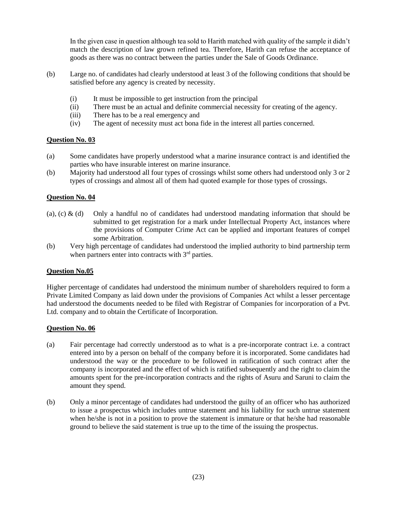In the given case in question although tea sold to Harith matched with quality of the sample it didn't match the description of law grown refined tea. Therefore, Harith can refuse the acceptance of goods as there was no contract between the parties under the Sale of Goods Ordinance.

- (b) Large no. of candidates had clearly understood at least 3 of the following conditions that should be satisfied before any agency is created by necessity.
	- (i) It must be impossible to get instruction from the principal
	- (ii) There must be an actual and definite commercial necessity for creating of the agency.
	- (iii) There has to be a real emergency and
	- (iv) The agent of necessity must act bona fide in the interest all parties concerned.

# **Question No. 03**

- (a) Some candidates have properly understood what a marine insurance contract is and identified the parties who have insurable interest on marine insurance.
- (b) Majority had understood all four types of crossings whilst some others had understood only 3 or 2 types of crossings and almost all of them had quoted example for those types of crossings.

# **Question No. 04**

- (a), (c) & (d) Only a handful no of candidates had understood mandating information that should be submitted to get registration for a mark under Intellectual Property Act, instances where the provisions of Computer Crime Act can be applied and important features of compel some Arbitration.
- (b) Very high percentage of candidates had understood the implied authority to bind partnership term when partners enter into contracts with  $3<sup>rd</sup>$  parties.

# **Question No.05**

Higher percentage of candidates had understood the minimum number of shareholders required to form a Private Limited Company as laid down under the provisions of Companies Act whilst a lesser percentage had understood the documents needed to be filed with Registrar of Companies for incorporation of a Pvt. Ltd. company and to obtain the Certificate of Incorporation.

- (a) Fair percentage had correctly understood as to what is a pre-incorporate contract i.e. a contract entered into by a person on behalf of the company before it is incorporated. Some candidates had understood the way or the procedure to be followed in ratification of such contract after the company is incorporated and the effect of which is ratified subsequently and the right to claim the amounts spent for the pre-incorporation contracts and the rights of Asuru and Saruni to claim the amount they spend.
- (b) Only a minor percentage of candidates had understood the guilty of an officer who has authorized to issue a prospectus which includes untrue statement and his liability for such untrue statement when he/she is not in a position to prove the statement is immature or that he/she had reasonable ground to believe the said statement is true up to the time of the issuing the prospectus.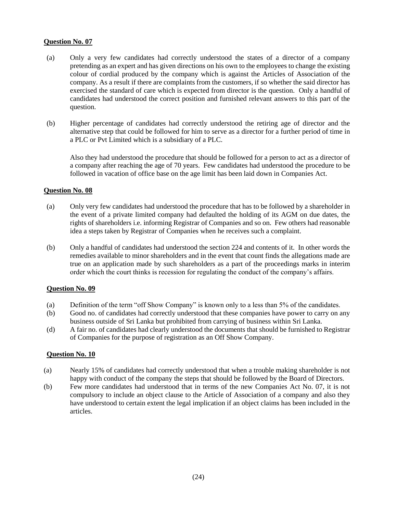# **Question No. 07**

- (a) Only a very few candidates had correctly understood the states of a director of a company pretending as an expert and has given directions on his own to the employees to change the existing colour of cordial produced by the company which is against the Articles of Association of the company. As a result if there are complaints from the customers, if so whether the said director has exercised the standard of care which is expected from director is the question. Only a handful of candidates had understood the correct position and furnished relevant answers to this part of the question.
- (b) Higher percentage of candidates had correctly understood the retiring age of director and the alternative step that could be followed for him to serve as a director for a further period of time in a PLC or Pvt Limited which is a subsidiary of a PLC.

Also they had understood the procedure that should be followed for a person to act as a director of a company after reaching the age of 70 years. Few candidates had understood the procedure to be followed in vacation of office base on the age limit has been laid down in Companies Act.

# **Question No. 08**

- (a) Only very few candidates had understood the procedure that has to be followed by a shareholder in the event of a private limited company had defaulted the holding of its AGM on due dates, the rights of shareholders i.e. informing Registrar of Companies and so on. Few others had reasonable idea a steps taken by Registrar of Companies when he receives such a complaint.
- (b) Only a handful of candidates had understood the section 224 and contents of it. In other words the remedies available to minor shareholders and in the event that count finds the allegations made are true on an application made by such shareholders as a part of the proceedings marks in interim order which the court thinks is recession for regulating the conduct of the company's affairs.

# **Question No. 09**

- (a) Definition of the term "off Show Company" is known only to a less than 5% of the candidates.
- (b) Good no. of candidates had correctly understood that these companies have power to carry on any business outside of Sri Lanka but prohibited from carrying of business within Sri Lanka.
- (d) A fair no. of candidates had clearly understood the documents that should be furnished to Registrar of Companies for the purpose of registration as an Off Show Company.

- (a) Nearly 15% of candidates had correctly understood that when a trouble making shareholder is not happy with conduct of the company the steps that should be followed by the Board of Directors.
- (b) Few more candidates had understood that in terms of the new Companies Act No. 07, it is not compulsory to include an object clause to the Article of Association of a company and also they have understood to certain extent the legal implication if an object claims has been included in the articles.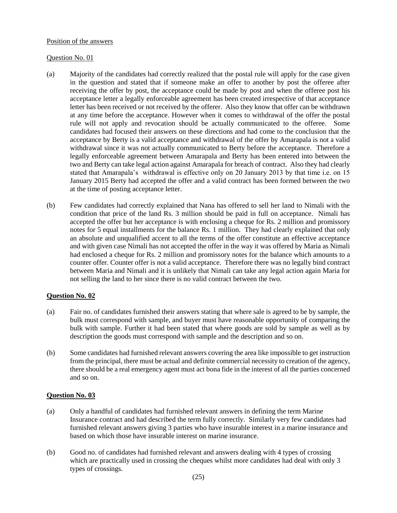#### Position of the answers

# Question No. 01

- (a) Majority of the candidates had correctly realized that the postal rule will apply for the case given in the question and stated that if someone make an offer to another by post the offeree after receiving the offer by post, the acceptance could be made by post and when the offeree post his acceptance letter a legally enforceable agreement has been created irrespective of that acceptance letter has been received or not received by the offerer. Also they know that offer can be withdrawn at any time before the acceptance. However when it comes to withdrawal of the offer the postal rule will not apply and revocation should be actually communicated to the offeree. Some candidates had focused their answers on these directions and had come to the conclusion that the acceptance by Berty is a valid acceptance and withdrawal of the offer by Amarapala is not a valid withdrawal since it was not actually communicated to Berty before the acceptance. Therefore a legally enforceable agreement between Amarapala and Berty has been entered into between the two and Berty can take legal action against Amarapala for breach of contract. Also they had clearly stated that Amarapala's withdrawal is effective only on 20 January 2013 by that time i.e. on 15 January 2015 Berty had accepted the offer and a valid contract has been formed between the two at the time of posting acceptance letter.
- (b) Few candidates had correctly explained that Nana has offered to sell her land to Nimali with the condition that price of the land Rs. 3 million should be paid in full on acceptance. Nimali has accepted the offer but her acceptance is with enclosing a cheque for Rs. 2 million and promissory notes for 5 equal installments for the balance Rs. 1 million. They had clearly explained that only an absolute and unqualified accent to all the terms of the offer constitute an effective acceptance and with given case Nimali has not accepted the offer in the way it was offered by Maria as Nimali had enclosed a cheque for Rs. 2 million and promissory notes for the balance which amounts to a counter offer. Counter offer is not a valid acceptance. Therefore there was no legally bind contract between Maria and Nimali and it is unlikely that Nimali can take any legal action again Maria for not selling the land to her since there is no valid contract between the two.

# **Question No. 02**

- (a) Fair no. of candidates furnished their answers stating that where sale is agreed to be by sample, the bulk must correspond with sample, and buyer must have reasonable opportunity of comparing the bulk with sample. Further it had been stated that where goods are sold by sample as well as by description the goods must correspond with sample and the description and so on.
- (b) Some candidates had furnished relevant answers covering the area like impossible to get instruction from the principal, there must be actual and definite commercial necessity to creation of the agency, there should be a real emergency agent must act bona fide in the interest of all the parties concerned and so on.

- (a) Only a handful of candidates had furnished relevant answers in defining the term Marine Insurance contract and had described the term fully correctly. Similarly very few candidates had furnished relevant answers giving 3 parties who have insurable interest in a marine insurance and based on which those have insurable interest on marine insurance.
- (b) Good no. of candidates had furnished relevant and answers dealing with 4 types of crossing which are practically used in crossing the cheques whilst more candidates had deal with only 3 types of crossings.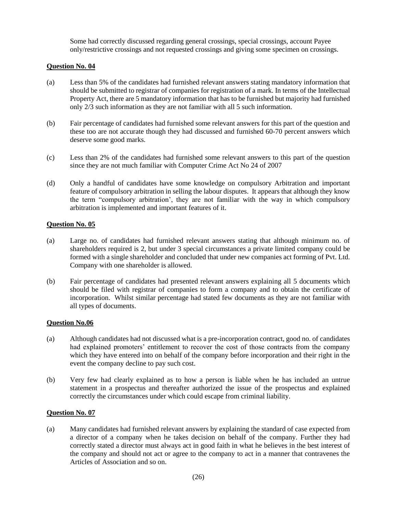Some had correctly discussed regarding general crossings, special crossings, account Payee only/restrictive crossings and not requested crossings and giving some specimen on crossings.

# **Question No. 04**

- (a) Less than 5% of the candidates had furnished relevant answers stating mandatory information that should be submitted to registrar of companies for registration of a mark. In terms of the Intellectual Property Act, there are 5 mandatory information that has to be furnished but majority had furnished only 2/3 such information as they are not familiar with all 5 such information.
- (b) Fair percentage of candidates had furnished some relevant answers for this part of the question and these too are not accurate though they had discussed and furnished 60-70 percent answers which deserve some good marks.
- (c) Less than 2% of the candidates had furnished some relevant answers to this part of the question since they are not much familiar with Computer Crime Act No 24 of 2007
- (d) Only a handful of candidates have some knowledge on compulsory Arbitration and important feature of compulsory arbitration in selling the labour disputes. It appears that although they know the term "compulsory arbitration', they are not familiar with the way in which compulsory arbitration is implemented and important features of it.

# **Question No. 05**

- (a) Large no. of candidates had furnished relevant answers stating that although minimum no. of shareholders required is 2, but under 3 special circumstances a private limited company could be formed with a single shareholder and concluded that under new companies act forming of Pvt. Ltd. Company with one shareholder is allowed.
- (b) Fair percentage of candidates had presented relevant answers explaining all 5 documents which should be filed with registrar of companies to form a company and to obtain the certificate of incorporation. Whilst similar percentage had stated few documents as they are not familiar with all types of documents.

# **Question No.06**

- (a) Although candidates had not discussed what is a pre-incorporation contract, good no. of candidates had explained promoters' entitlement to recover the cost of those contracts from the company which they have entered into on behalf of the company before incorporation and their right in the event the company decline to pay such cost.
- (b) Very few had clearly explained as to how a person is liable when he has included an untrue statement in a prospectus and thereafter authorized the issue of the prospectus and explained correctly the circumstances under which could escape from criminal liability.

# **Question No. 07**

(a) Many candidates had furnished relevant answers by explaining the standard of case expected from a director of a company when he takes decision on behalf of the company. Further they had correctly stated a director must always act in good faith in what he believes in the best interest of the company and should not act or agree to the company to act in a manner that contravenes the Articles of Association and so on.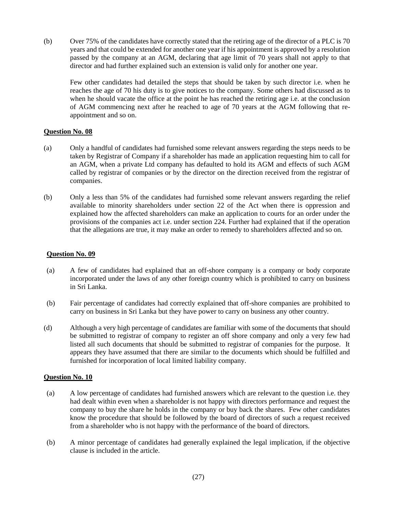(b) Over 75% of the candidates have correctly stated that the retiring age of the director of a PLC is 70 years and that could be extended for another one year if his appointment is approved by a resolution passed by the company at an AGM, declaring that age limit of 70 years shall not apply to that director and had further explained such an extension is valid only for another one year.

Few other candidates had detailed the steps that should be taken by such director i.e. when he reaches the age of 70 his duty is to give notices to the company. Some others had discussed as to when he should vacate the office at the point he has reached the retiring age i.e. at the conclusion of AGM commencing next after he reached to age of 70 years at the AGM following that reappointment and so on.

# **Question No. 08**

- (a) Only a handful of candidates had furnished some relevant answers regarding the steps needs to be taken by Registrar of Company if a shareholder has made an application requesting him to call for an AGM, when a private Ltd company has defaulted to hold its AGM and effects of such AGM called by registrar of companies or by the director on the direction received from the registrar of companies.
- (b) Only a less than 5% of the candidates had furnished some relevant answers regarding the relief available to minority shareholders under section 22 of the Act when there is oppression and explained how the affected shareholders can make an application to courts for an order under the provisions of the companies act i.e. under section 224. Further had explained that if the operation that the allegations are true, it may make an order to remedy to shareholders affected and so on.

# **Question No. 09**

- (a) A few of candidates had explained that an off-shore company is a company or body corporate incorporated under the laws of any other foreign country which is prohibited to carry on business in Sri Lanka.
- (b) Fair percentage of candidates had correctly explained that off-shore companies are prohibited to carry on business in Sri Lanka but they have power to carry on business any other country.
- (d) Although a very high percentage of candidates are familiar with some of the documents that should be submitted to registrar of company to register an off shore company and only a very few had listed all such documents that should be submitted to registrar of companies for the purpose. It appears they have assumed that there are similar to the documents which should be fulfilled and furnished for incorporation of local limited liability company.

- (a) A low percentage of candidates had furnished answers which are relevant to the question i.e. they had dealt within even when a shareholder is not happy with directors performance and request the company to buy the share he holds in the company or buy back the shares. Few other candidates know the procedure that should be followed by the board of directors of such a request received from a shareholder who is not happy with the performance of the board of directors.
- (b) A minor percentage of candidates had generally explained the legal implication, if the objective clause is included in the article.